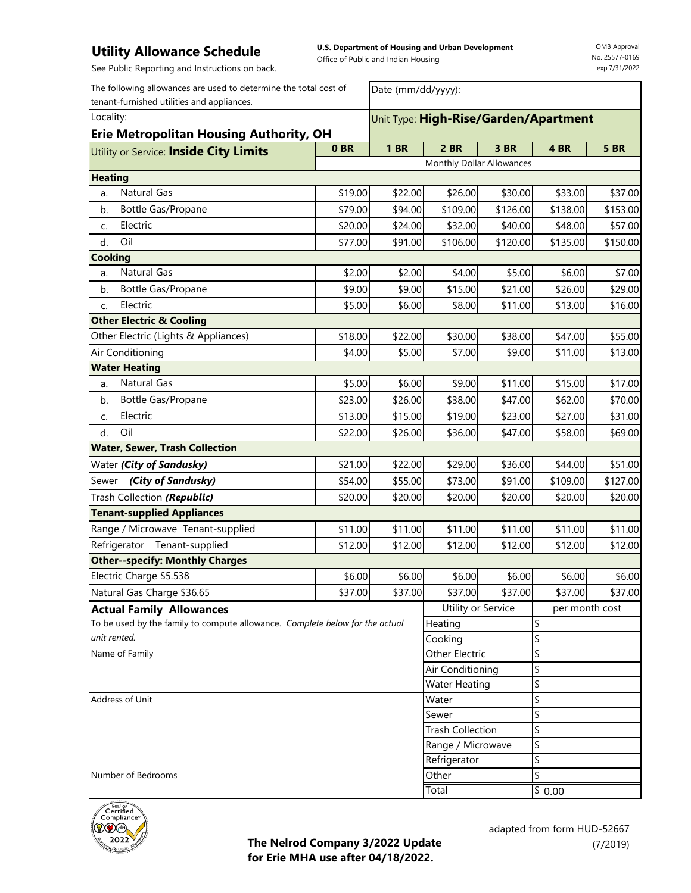**U.S. Department of Housing and Urban Development**  Office of Public and Indian Housing

Date (mm/dd/yyyy):

OMB Approval No. 25577-0169 exp.7/31/2022

See Public Reporting and Instructions on back.

The following allowances are used to determine the total cost of tenant-furnished utilities and appliances.

| Locality:<br><b>Erie Metropolitan Housing Authority, OH</b>                  |                 | Unit Type: High-Rise/Garden/Apartment |                           |          |                |             |  |
|------------------------------------------------------------------------------|-----------------|---------------------------------------|---------------------------|----------|----------------|-------------|--|
| Utility or Service: Inside City Limits                                       | 0 <sub>BR</sub> | <b>1 BR</b>                           | <b>2 BR</b>               | 3 BR     | 4BR            | <b>5 BR</b> |  |
|                                                                              |                 |                                       | Monthly Dollar Allowances |          |                |             |  |
| <b>Heating</b>                                                               |                 |                                       |                           |          |                |             |  |
| <b>Natural Gas</b><br>a.                                                     | \$19.00         | \$22.00                               | \$26.00                   | \$30.00  | \$33.00        | \$37.00     |  |
| Bottle Gas/Propane<br>b.                                                     | \$79.00         | \$94.00                               | \$109.00                  | \$126.00 | \$138.00       | \$153.00    |  |
| Electric<br>c.                                                               | \$20.00         | \$24.00                               | \$32.00                   | \$40.00  | \$48.00        | \$57.00     |  |
| Oil<br>d.                                                                    | \$77.00         | \$91.00                               | \$106.00                  | \$120.00 | \$135.00       | \$150.00    |  |
| Cooking                                                                      |                 |                                       |                           |          |                |             |  |
| <b>Natural Gas</b><br>a.                                                     | \$2.00          | \$2.00                                | \$4.00                    | \$5.00   | \$6.00         | \$7.00      |  |
| b.<br>Bottle Gas/Propane                                                     | \$9.00          | \$9.00                                | \$15.00                   | \$21.00  | \$26.00        | \$29.00     |  |
| Electric<br>C.                                                               | \$5.00          | \$6.00                                | \$8.00                    | \$11.00  | \$13.00        | \$16.00     |  |
| <b>Other Electric &amp; Cooling</b>                                          |                 |                                       |                           |          |                |             |  |
| Other Electric (Lights & Appliances)                                         | \$18.00         | \$22.00                               | \$30.00                   | \$38.00  | \$47.00        | \$55.00     |  |
| Air Conditioning                                                             | \$4.00          | \$5.00                                | \$7.00                    | \$9.00   | \$11.00        | \$13.00     |  |
| <b>Water Heating</b>                                                         |                 |                                       |                           |          |                |             |  |
| <b>Natural Gas</b><br>a.                                                     | \$5.00          | \$6.00                                | \$9.00                    | \$11.00  | \$15.00        | \$17.00     |  |
| Bottle Gas/Propane<br>b.                                                     | \$23.00         | \$26.00                               | \$38.00                   | \$47.00  | \$62.00        | \$70.00     |  |
| Electric<br>C.                                                               | \$13.00         | \$15.00                               | \$19.00                   | \$23.00  | \$27.00        | \$31.00     |  |
| Oil<br>d.                                                                    | \$22.00         | \$26.00                               | \$36.00                   | \$47.00  | \$58.00        | \$69.00     |  |
| <b>Water, Sewer, Trash Collection</b>                                        |                 |                                       |                           |          |                |             |  |
| Water (City of Sandusky)                                                     | \$21.00         | \$22.00                               | \$29.00                   | \$36.00  | \$44.00        | \$51.00     |  |
| (City of Sandusky)<br>Sewer                                                  | \$54.00         | \$55.00                               | \$73.00                   | \$91.00  | \$109.00       | \$127.00    |  |
| Trash Collection (Republic)                                                  | \$20.00         | \$20.00                               | \$20.00                   | \$20.00  | \$20.00        | \$20.00     |  |
| <b>Tenant-supplied Appliances</b>                                            |                 |                                       |                           |          |                |             |  |
| Range / Microwave Tenant-supplied                                            | \$11.00         | \$11.00                               | \$11.00                   | \$11.00  | \$11.00        | \$11.00     |  |
| Refrigerator Tenant-supplied                                                 | \$12.00         | \$12.00                               | \$12.00                   | \$12.00  | \$12.00        | \$12.00     |  |
| <b>Other--specify: Monthly Charges</b>                                       |                 |                                       |                           |          |                |             |  |
| Electric Charge \$5.538                                                      | \$6.00          | \$6.00                                | \$6.00                    | \$6.00   | \$6.00         | \$6.00      |  |
| Natural Gas Charge \$36.65                                                   | \$37.00         | \$37.00                               | \$37.00                   | \$37.00  | \$37.00        | \$37.00     |  |
| <b>Actual Family Allowances</b>                                              |                 |                                       | Utility or Service        |          | per month cost |             |  |
| To be used by the family to compute allowance. Complete below for the actual |                 |                                       | Heating                   |          | \$             |             |  |
| unit rented.                                                                 |                 |                                       | Cooking                   |          | \$             |             |  |
| Name of Family                                                               | Other Electric  |                                       |                           | \$       |                |             |  |
|                                                                              |                 |                                       | Air Conditioning          |          | \$             |             |  |
| Address of Unit                                                              |                 |                                       | <b>Water Heating</b>      |          | \$             |             |  |
|                                                                              |                 |                                       | Water                     |          | \$             |             |  |
|                                                                              | Sewer           |                                       | \$                        |          |                |             |  |
|                                                                              |                 | <b>Trash Collection</b>               |                           | \$       |                |             |  |
|                                                                              |                 | Range / Microwave<br>Refrigerator     |                           | \$       |                |             |  |
| Number of Bedrooms                                                           | Other           |                                       | \$<br>\$                  |          |                |             |  |
|                                                                              |                 | Total                                 |                           |          |                |             |  |
|                                                                              |                 |                                       |                           |          | \$0.00         |             |  |



**The Nelrod Company 3/2022 Update for Erie MHA use after 04/18/2022.**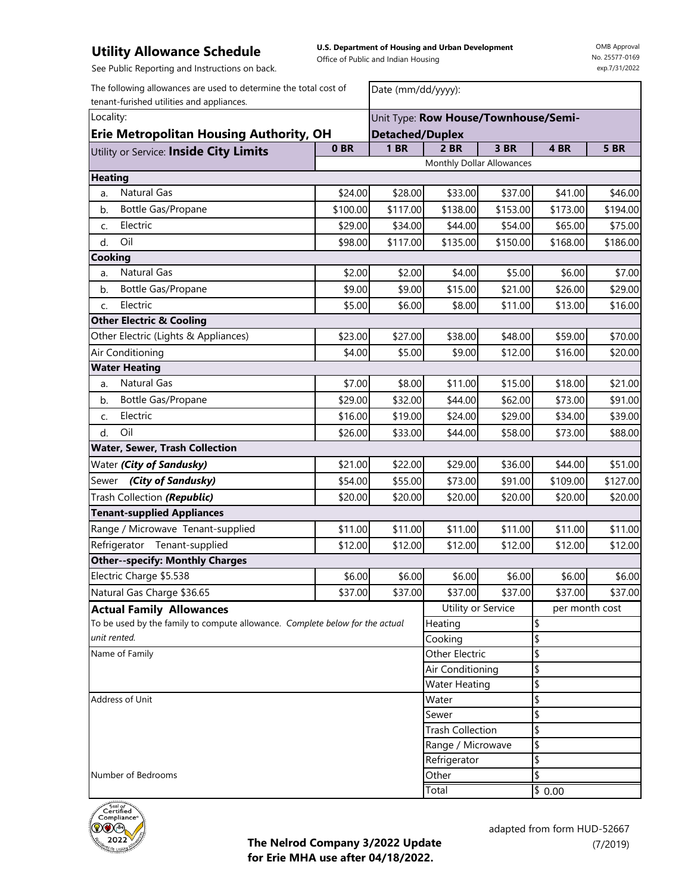**U.S. Department of Housing and Urban Development**  Office of Public and Indian Housing

OMB Approval No. 25577-0169 exp.7/31/2022

See Public Reporting and Instructions on back.

The following allowances are used to determine the total cost of tenant-furished utilities and appliances.

| Date (mm/dd/yyyy): |  |
|--------------------|--|
|                    |  |

| Locality:                                                                    |          | Unit Type: Row House/Townhouse/Semi- |                                      |                   |          |             |
|------------------------------------------------------------------------------|----------|--------------------------------------|--------------------------------------|-------------------|----------|-------------|
| <b>Erie Metropolitan Housing Authority, OH</b>                               |          | <b>Detached/Duplex</b>               |                                      |                   |          |             |
| Utility or Service: Inside City Limits                                       | 0BR      | <b>1 BR</b>                          | 2 BR                                 | $\overline{3}$ BR | 4BR      | <b>5 BR</b> |
|                                                                              |          |                                      | Monthly Dollar Allowances            |                   |          |             |
| <b>Heating</b>                                                               |          |                                      |                                      |                   |          |             |
| <b>Natural Gas</b><br>a.                                                     | \$24.00  | \$28.00                              | \$33.00                              | \$37.00           | \$41.00  | \$46.00     |
| Bottle Gas/Propane<br>b.                                                     | \$100.00 | \$117.00                             | \$138.00                             | \$153.00          | \$173.00 | \$194.00    |
| Electric<br>C.                                                               | \$29.00  | \$34.00                              | \$44.00                              | \$54.00           | \$65.00  | \$75.00     |
| Oil<br>d.                                                                    | \$98.00  | \$117.00                             | \$135.00                             | \$150.00          | \$168.00 | \$186.00    |
| Cooking                                                                      |          |                                      |                                      |                   |          |             |
| <b>Natural Gas</b><br>a.                                                     | \$2.00   | \$2.00                               | \$4.00                               | \$5.00            | \$6.00   | \$7.00      |
| Bottle Gas/Propane<br>b.                                                     | \$9.00   | \$9.00                               | \$15.00                              | \$21.00           | \$26.00  | \$29.00     |
| Electric<br>C.                                                               | \$5.00   | \$6.00                               | \$8.00                               | \$11.00           | \$13.00  | \$16.00     |
| <b>Other Electric &amp; Cooling</b>                                          |          |                                      |                                      |                   |          |             |
| Other Electric (Lights & Appliances)                                         | \$23.00  | \$27.00                              | \$38.00                              | \$48.00           | \$59.00  | \$70.00     |
| Air Conditioning                                                             | \$4.00   | \$5.00                               | \$9.00                               | \$12.00           | \$16.00  | \$20.00     |
| <b>Water Heating</b>                                                         |          |                                      |                                      |                   |          |             |
| <b>Natural Gas</b><br>a.                                                     | \$7.00   | \$8.00                               | \$11.00                              | \$15.00           | \$18.00  | \$21.00     |
| Bottle Gas/Propane<br>b.                                                     | \$29.00  | \$32.00                              | \$44.00                              | \$62.00           | \$73.00  | \$91.00     |
| Electric<br>C.                                                               | \$16.00  | \$19.00                              | \$24.00                              | \$29.00           | \$34.00  | \$39.00     |
| Oil<br>d.                                                                    | \$26.00  | \$33.00                              | \$44.00                              | \$58.00           | \$73.00  | \$88.00     |
| <b>Water, Sewer, Trash Collection</b>                                        |          |                                      |                                      |                   |          |             |
| Water (City of Sandusky)                                                     | \$21.00  | \$22.00                              | \$29.00                              | \$36.00           | \$44.00  | \$51.00     |
| Sewer (City of Sandusky)                                                     | \$54.00  | \$55.00                              | \$73.00                              | \$91.00           | \$109.00 | \$127.00    |
| Trash Collection (Republic)                                                  | \$20.00  | \$20.00                              | \$20.00                              | \$20.00           | \$20.00  | \$20.00     |
| <b>Tenant-supplied Appliances</b>                                            |          |                                      |                                      |                   |          |             |
| Range / Microwave Tenant-supplied                                            | \$11.00  | \$11.00                              | \$11.00                              | \$11.00           | \$11.00  | \$11.00     |
| Refrigerator<br>Tenant-supplied                                              | \$12.00  | \$12.00                              | \$12.00                              | \$12.00           | \$12.00  | \$12.00     |
| <b>Other--specify: Monthly Charges</b>                                       |          |                                      |                                      |                   |          |             |
| Electric Charge \$5.538                                                      | \$6.00   | \$6.00                               | \$6.00                               | \$6.00            | \$6.00   | \$6.00      |
| Natural Gas Charge \$36.65                                                   | \$37.00  | \$37.00                              | \$37.00                              | \$37.00           | \$37.00  | \$37.00     |
| <b>Actual Family Allowances</b>                                              |          |                                      | Utility or Service<br>per month cost |                   |          |             |
| To be used by the family to compute allowance. Complete below for the actual |          |                                      | \$<br>Heating                        |                   |          |             |
| unit rented.                                                                 |          |                                      | \$<br>Cooking                        |                   |          |             |
| Name of Family                                                               |          |                                      | Other Electric<br>\$                 |                   |          |             |
|                                                                              |          |                                      | Air Conditioning                     |                   | \$       |             |
|                                                                              |          |                                      | \$<br><b>Water Heating</b>           |                   |          |             |
| <b>Address of Unit</b>                                                       |          |                                      | \$<br>Water                          |                   |          |             |
|                                                                              |          |                                      | Sewer                                |                   | \$       |             |
|                                                                              |          | <b>Trash Collection</b>              |                                      | \$                |          |             |
|                                                                              |          | Range / Microwave                    |                                      | \$                |          |             |
|                                                                              |          | Refrigerator                         |                                      | \$                |          |             |
| Number of Bedrooms                                                           |          |                                      | \$<br>Other                          |                   |          |             |
|                                                                              |          |                                      | Total                                |                   | \$0.00   |             |



**The Nelrod Company 3/2022 Update for Erie MHA use after 04/18/2022.**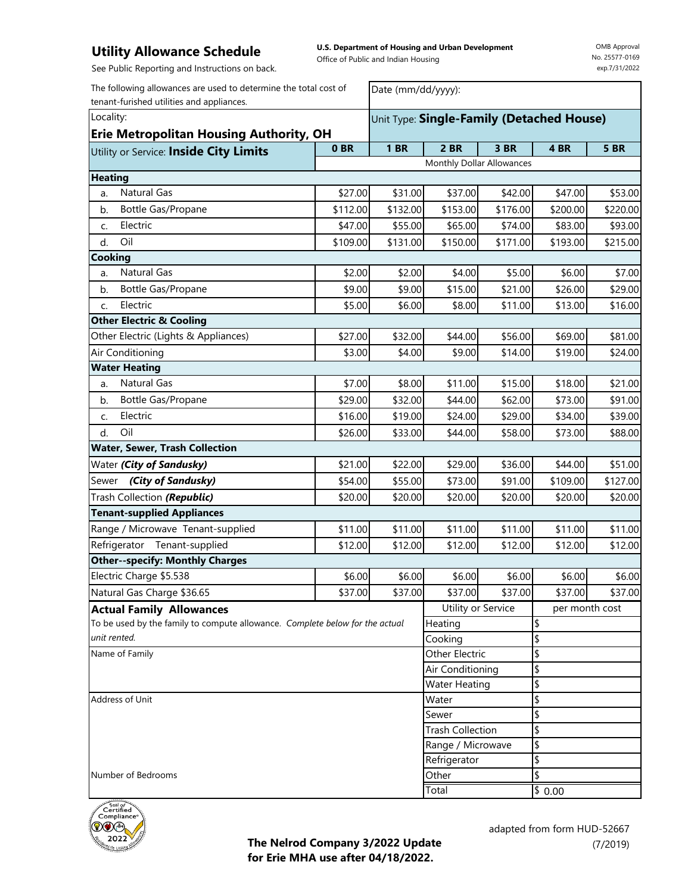**U.S. Department of Housing and Urban Development**  Office of Public and Indian Housing

Date (mm/dd/yyyy):

OMB Approval No. 25577-0169 exp.7/31/2022

See Public Reporting and Instructions on back.

The following allowances are used to determine the total cost of tenant-furished utilities and appliances.

| Locality:<br><b>Erie Metropolitan Housing Authority, OH</b>                  |                  | Unit Type: Single-Family (Detached House) |                           |          |                 |             |  |
|------------------------------------------------------------------------------|------------------|-------------------------------------------|---------------------------|----------|-----------------|-------------|--|
| Utility or Service: Inside City Limits                                       | 0BR              | <b>1 BR</b>                               | <b>2 BR</b>               | 3 BR     | 4BR             | <b>5 BR</b> |  |
|                                                                              |                  |                                           | Monthly Dollar Allowances |          |                 |             |  |
| <b>Heating</b>                                                               |                  |                                           |                           |          |                 |             |  |
| <b>Natural Gas</b><br>a.                                                     | \$27.00          | \$31.00                                   | \$37.00                   | \$42.00  | \$47.00         | \$53.00     |  |
| Bottle Gas/Propane<br>b.                                                     | \$112.00         | \$132.00                                  | \$153.00                  | \$176.00 | \$200.00        | \$220.00    |  |
| Electric<br>c.                                                               | \$47.00          | \$55.00                                   | \$65.00                   | \$74.00  | \$83.00         | \$93.00     |  |
| Oil<br>d.                                                                    | \$109.00         | \$131.00                                  | \$150.00                  | \$171.00 | \$193.00        | \$215.00    |  |
| Cooking                                                                      |                  |                                           |                           |          |                 |             |  |
| Natural Gas<br>a.                                                            | \$2.00           | \$2.00                                    | \$4.00                    | \$5.00   | \$6.00          | \$7.00      |  |
| b.<br>Bottle Gas/Propane                                                     | \$9.00           | \$9.00                                    | \$15.00                   | \$21.00  | \$26.00         | \$29.00     |  |
| Electric<br>C.                                                               | \$5.00           | \$6.00                                    | \$8.00                    | \$11.00  | \$13.00         | \$16.00     |  |
| <b>Other Electric &amp; Cooling</b>                                          |                  |                                           |                           |          |                 |             |  |
| Other Electric (Lights & Appliances)                                         | \$27.00          | \$32.00                                   | \$44.00                   | \$56.00  | \$69.00         | \$81.00     |  |
| Air Conditioning                                                             | \$3.00           | \$4.00                                    | \$9.00                    | \$14.00  | \$19.00         | \$24.00     |  |
| <b>Water Heating</b>                                                         |                  |                                           |                           |          |                 |             |  |
| Natural Gas<br>a.                                                            | \$7.00           | \$8.00                                    | \$11.00                   | \$15.00  | \$18.00         | \$21.00     |  |
| Bottle Gas/Propane<br>b.                                                     | \$29.00          | \$32.00                                   | \$44.00                   | \$62.00  | \$73.00         | \$91.00     |  |
| Electric<br>C.                                                               | \$16.00          | \$19.00                                   | \$24.00                   | \$29.00  | \$34.00         | \$39.00     |  |
| Oil<br>d.                                                                    | \$26.00          | \$33.00                                   | \$44.00                   | \$58.00  | \$73.00         | \$88.00     |  |
| <b>Water, Sewer, Trash Collection</b>                                        |                  |                                           |                           |          |                 |             |  |
| Water (City of Sandusky)                                                     | \$21.00          | \$22.00                                   | \$29.00                   | \$36.00  | \$44.00         | \$51.00     |  |
| Sewer (City of Sandusky)                                                     | \$54.00          | \$55.00                                   | \$73.00                   | \$91.00  | \$109.00        | \$127.00    |  |
| Trash Collection (Republic)                                                  | \$20.00          | \$20.00                                   | \$20.00                   | \$20.00  | \$20.00         | \$20.00     |  |
| <b>Tenant-supplied Appliances</b>                                            |                  |                                           |                           |          |                 |             |  |
| Range / Microwave Tenant-supplied                                            | \$11.00          | \$11.00                                   | \$11.00                   | \$11.00  | \$11.00         | \$11.00     |  |
| Refrigerator Tenant-supplied                                                 | \$12.00          | \$12.00                                   | \$12.00                   | \$12.00  | \$12.00         | \$12.00     |  |
| <b>Other--specify: Monthly Charges</b>                                       |                  |                                           |                           |          |                 |             |  |
| Electric Charge \$5.538                                                      | \$6.00           | \$6.00                                    | \$6.00                    | \$6.00   | \$6.00          | \$6.00      |  |
| Natural Gas Charge \$36.65                                                   | \$37.00          | \$37.00                                   | \$37.00                   | \$37.00  | \$37.00         | \$37.00     |  |
| <b>Actual Family Allowances</b>                                              |                  |                                           | Utility or Service        |          | per month cost  |             |  |
| To be used by the family to compute allowance. Complete below for the actual |                  |                                           | Heating                   |          | \$              |             |  |
| unit rented.                                                                 |                  |                                           | Cooking                   |          | \$              |             |  |
| Name of Family                                                               |                  |                                           | Other Electric            |          | \$              |             |  |
|                                                                              | Air Conditioning |                                           |                           | \$       |                 |             |  |
|                                                                              |                  |                                           | <b>Water Heating</b>      |          | \$              |             |  |
| Address of Unit                                                              |                  |                                           | Water                     |          | \$              |             |  |
|                                                                              | Sewer            |                                           |                           | \$       |                 |             |  |
|                                                                              |                  | <b>Trash Collection</b>                   |                           | \$       |                 |             |  |
|                                                                              |                  | Range / Microwave                         |                           | \$       |                 |             |  |
|                                                                              |                  | \$<br>Refrigerator                        |                           |          |                 |             |  |
| Number of Bedrooms                                                           |                  | Other                                     |                           | \$       |                 |             |  |
|                                                                              |                  |                                           | Total                     |          | $\sqrt{2}$ 0.00 |             |  |



**The Nelrod Company 3/2022 Update for Erie MHA use after 04/18/2022.**